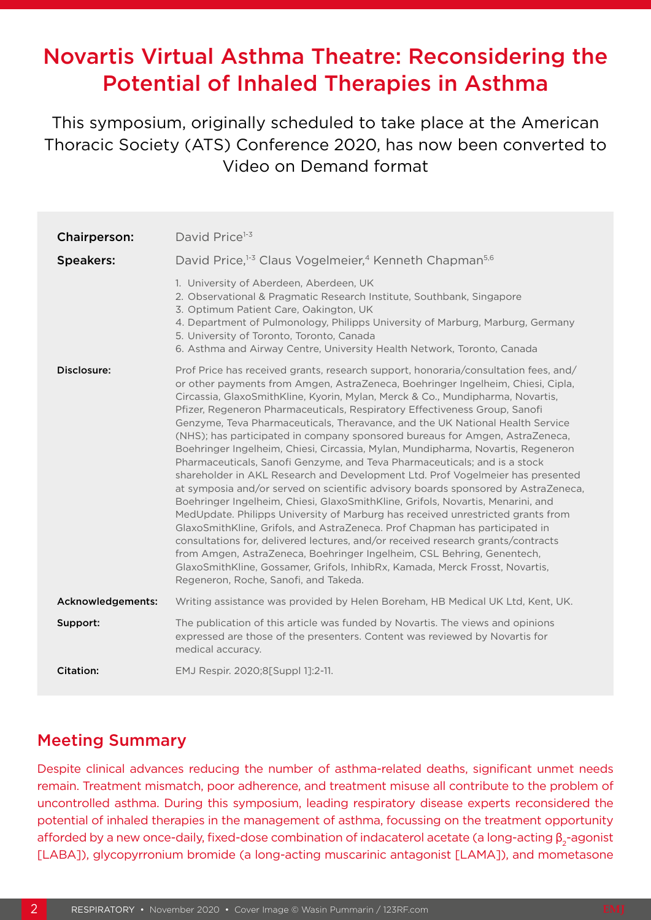# Novartis Virtual Asthma Theatre: Reconsidering the Potential of Inhaled Therapies in Asthma

This symposium, originally scheduled to take place at the American Thoracic Society (ATS) Conference 2020, has now been converted to Video on Demand format

| <b>Chairperson:</b> | David Price <sup>1-3</sup>                                                                                                                                                                                                                                                                                                                                                                                                                                                                                                                                                                                                                                                                                                                                                                                                                                                                                                                                                                                                                                                                                                                                                                                                                                                                                                                                                                  |  |  |
|---------------------|---------------------------------------------------------------------------------------------------------------------------------------------------------------------------------------------------------------------------------------------------------------------------------------------------------------------------------------------------------------------------------------------------------------------------------------------------------------------------------------------------------------------------------------------------------------------------------------------------------------------------------------------------------------------------------------------------------------------------------------------------------------------------------------------------------------------------------------------------------------------------------------------------------------------------------------------------------------------------------------------------------------------------------------------------------------------------------------------------------------------------------------------------------------------------------------------------------------------------------------------------------------------------------------------------------------------------------------------------------------------------------------------|--|--|
| <b>Speakers:</b>    | David Price, <sup>1-3</sup> Claus Vogelmeier, <sup>4</sup> Kenneth Chapman <sup>5,6</sup>                                                                                                                                                                                                                                                                                                                                                                                                                                                                                                                                                                                                                                                                                                                                                                                                                                                                                                                                                                                                                                                                                                                                                                                                                                                                                                   |  |  |
|                     | 1. University of Aberdeen, Aberdeen, UK<br>2. Observational & Pragmatic Research Institute, Southbank, Singapore<br>3. Optimum Patient Care, Oakington, UK<br>4. Department of Pulmonology, Philipps University of Marburg, Marburg, Germany<br>5. University of Toronto, Toronto, Canada<br>6. Asthma and Airway Centre, University Health Network, Toronto, Canada                                                                                                                                                                                                                                                                                                                                                                                                                                                                                                                                                                                                                                                                                                                                                                                                                                                                                                                                                                                                                        |  |  |
| Disclosure:         | Prof Price has received grants, research support, honoraria/consultation fees, and/<br>or other payments from Amgen, AstraZeneca, Boehringer Ingelheim, Chiesi, Cipla,<br>Circassia, GlaxoSmithKline, Kyorin, Mylan, Merck & Co., Mundipharma, Novartis,<br>Pfizer, Regeneron Pharmaceuticals, Respiratory Effectiveness Group, Sanofi<br>Genzyme, Teva Pharmaceuticals, Theravance, and the UK National Health Service<br>(NHS); has participated in company sponsored bureaus for Amgen, AstraZeneca,<br>Boehringer Ingelheim, Chiesi, Circassia, Mylan, Mundipharma, Novartis, Regeneron<br>Pharmaceuticals, Sanofi Genzyme, and Teva Pharmaceuticals; and is a stock<br>shareholder in AKL Research and Development Ltd. Prof Vogelmeier has presented<br>at symposia and/or served on scientific advisory boards sponsored by AstraZeneca,<br>Boehringer Ingelheim, Chiesi, GlaxoSmithKline, Grifols, Novartis, Menarini, and<br>MedUpdate. Philipps University of Marburg has received unrestricted grants from<br>GlaxoSmithKline, Grifols, and AstraZeneca. Prof Chapman has participated in<br>consultations for, delivered lectures, and/or received research grants/contracts<br>from Amgen, AstraZeneca, Boehringer Ingelheim, CSL Behring, Genentech,<br>GlaxoSmithKline, Gossamer, Grifols, InhibRx, Kamada, Merck Frosst, Novartis,<br>Regeneron, Roche, Sanofi, and Takeda. |  |  |
| Acknowledgements:   | Writing assistance was provided by Helen Boreham, HB Medical UK Ltd, Kent, UK.                                                                                                                                                                                                                                                                                                                                                                                                                                                                                                                                                                                                                                                                                                                                                                                                                                                                                                                                                                                                                                                                                                                                                                                                                                                                                                              |  |  |
| Support:            | The publication of this article was funded by Novartis. The views and opinions<br>expressed are those of the presenters. Content was reviewed by Novartis for<br>medical accuracy.                                                                                                                                                                                                                                                                                                                                                                                                                                                                                                                                                                                                                                                                                                                                                                                                                                                                                                                                                                                                                                                                                                                                                                                                          |  |  |
| <b>Citation:</b>    | EMJ Respir. 2020;8[Suppl 1]:2-11.                                                                                                                                                                                                                                                                                                                                                                                                                                                                                                                                                                                                                                                                                                                                                                                                                                                                                                                                                                                                                                                                                                                                                                                                                                                                                                                                                           |  |  |

### Meeting Summary

Despite clinical advances reducing the number of asthma-related deaths, significant unmet needs remain. Treatment mismatch, poor adherence, and treatment misuse all contribute to the problem of uncontrolled asthma. During this symposium, leading respiratory disease experts reconsidered the potential of inhaled therapies in the management of asthma, focussing on the treatment opportunity afforded by a new once-daily, fixed-dose combination of indacaterol acetate (a long-acting β<sub>2</sub>-agonist [LABA]), glycopyrronium bromide (a long-acting muscarinic antagonist [LAMA]), and mometasone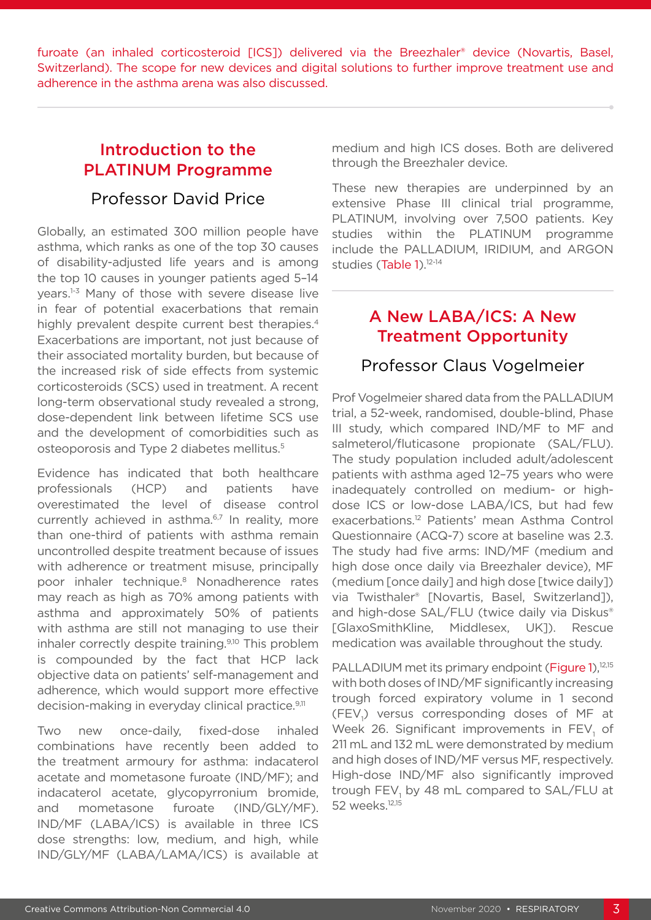furoate (an inhaled corticosteroid [ICS]) delivered via the Breezhaler® device (Novartis, Basel, Switzerland). The scope for new devices and digital solutions to further improve treatment use and adherence in the asthma arena was also discussed.

## Introduction to the PLATINUM Programme

### Professor David Price

Globally, an estimated 300 million people have asthma, which ranks as one of the top 30 causes of disability-adjusted life years and is among the top 10 causes in younger patients aged 5–14 years.1-3 Many of those with severe disease live in fear of potential exacerbations that remain highly prevalent despite current best therapies.<sup>4</sup> Exacerbations are important, not just because of their associated mortality burden, but because of the increased risk of side effects from systemic corticosteroids (SCS) used in treatment. A recent long-term observational study revealed a strong, dose-dependent link between lifetime SCS use and the development of comorbidities such as osteoporosis and Type 2 diabetes mellitus.<sup>5</sup>

Evidence has indicated that both healthcare professionals (HCP) and patients have overestimated the level of disease control currently achieved in asthma.<sup>6,7</sup> In reality, more than one-third of patients with asthma remain uncontrolled despite treatment because of issues with adherence or treatment misuse, principally poor inhaler technique.8 Nonadherence rates may reach as high as 70% among patients with asthma and approximately 50% of patients with asthma are still not managing to use their inhaler correctly despite training.9,10 This problem is compounded by the fact that HCP lack objective data on patients' self-management and adherence, which would support more effective decision-making in everyday clinical practice.<sup>9,11</sup>

Two new once-daily, fixed-dose inhaled combinations have recently been added to the treatment armoury for asthma: indacaterol acetate and mometasone furoate (IND/MF); and indacaterol acetate, glycopyrronium bromide, and mometasone furoate (IND/GLY/MF). IND/MF (LABA/ICS) is available in three ICS dose strengths: low, medium, and high, while IND/GLY/MF (LABA/LAMA/ICS) is available at

medium and high ICS doses. Both are delivered through the Breezhaler device.

These new therapies are underpinned by an extensive Phase III clinical trial programme, PLATINUM, involving over 7,500 patients. Key studies within the PLATINUM programme include the PALLADIUM, IRIDIUM, and ARGON studies (Table 1).<sup>12-14</sup>

### A New LABA/ICS: A New Treatment Opportunity

### Professor Claus Vogelmeier

Prof Vogelmeier shared data from the PALLADIUM trial, a 52-week, randomised, double-blind, Phase III study, which compared IND/MF to MF and salmeterol/fluticasone propionate (SAL/FLU). The study population included adult/adolescent patients with asthma aged 12–75 years who were inadequately controlled on medium- or highdose ICS or low-dose LABA/ICS, but had few exacerbations.12 Patients' mean Asthma Control Questionnaire (ACQ-7) score at baseline was 2.3. The study had five arms: IND/MF (medium and high dose once daily via Breezhaler device), MF (medium [once daily] and high dose [twice daily]) via Twisthaler® [Novartis, Basel, Switzerland]), and high-dose SAL/FLU (twice daily via Diskus® [GlaxoSmithKline, Middlesex, UK]). Rescue medication was available throughout the study.

PALLADIUM met its primary endpoint (Figure 1),<sup>12,15</sup> with both doses of IND/MF significantly increasing trough forced expiratory volume in 1 second (FEV<sub>1</sub>) versus corresponding doses of MF at Week 26. Significant improvements in  $\mathsf{FEV}_1$  of 211 mL and 132 mL were demonstrated by medium and high doses of IND/MF versus MF, respectively. High-dose IND/MF also significantly improved trough  $\mathsf{FEV}_1$  by 48 mL compared to SAL/FLU at 52 weeks.<sup>12,15</sup>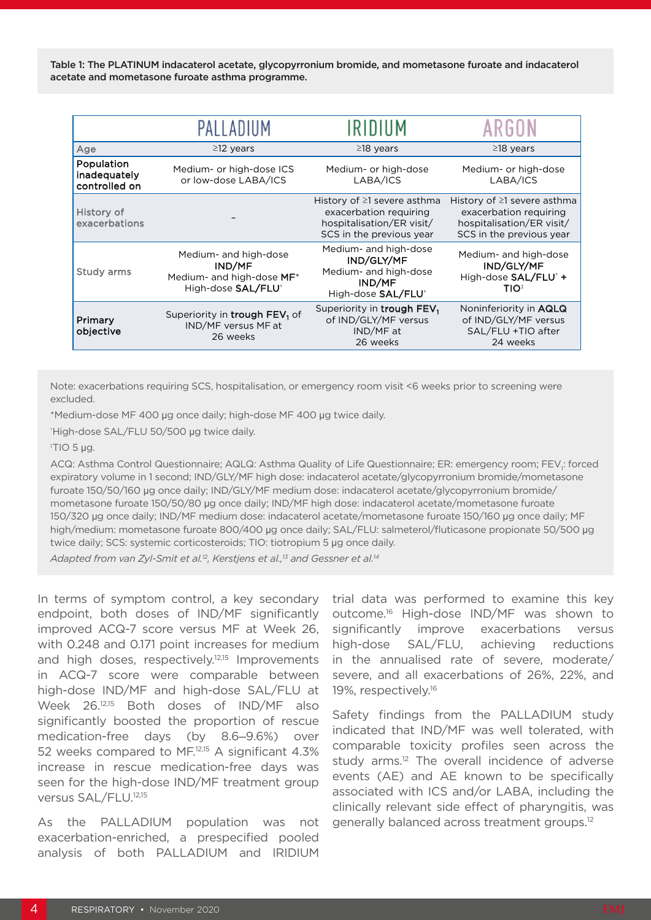Table 1: The PLATINUM indacaterol acetate, glycopyrronium bromide, and mometasone furoate and indacaterol acetate and mometasone furoate asthma programme.

|                                             | PALLADIUM                                                                         | IRIDIUM                                                                                                              | ARGUN                                                                                                                |
|---------------------------------------------|-----------------------------------------------------------------------------------|----------------------------------------------------------------------------------------------------------------------|----------------------------------------------------------------------------------------------------------------------|
| Age                                         | $\geq$ 12 years                                                                   | $\geq$ 18 years                                                                                                      | $\geq$ 18 years                                                                                                      |
| Population<br>inadequately<br>controlled on | Medium- or high-dose ICS<br>or low-dose LABA/ICS                                  | Medium- or high-dose<br>LABA/ICS                                                                                     | Medium- or high-dose<br>LABA/ICS                                                                                     |
| History of<br>exacerbations                 |                                                                                   | History of $\geq$ 1 severe asthma<br>exacerbation requiring<br>hospitalisation/ER visit/<br>SCS in the previous year | History of $\geq$ 1 severe asthma<br>exacerbation requiring<br>hospitalisation/ER visit/<br>SCS in the previous year |
| Study arms                                  | Medium- and high-dose<br>IND/MF<br>Medium- and high-dose MF*<br>High-dose SAL/FLU | Medium- and high-dose<br>IND/GLY/MF<br>Medium- and high-dose<br>IND/MF<br>High-dose SAL/FLU <sup>+</sup>             | Medium- and high-dose<br>IND/GLY/MF<br>High-dose SAL/FLU <sup>+</sup> +<br>TIO‡                                      |
| Primary<br>objective                        | Superiority in trough FEV <sub>1</sub> of<br>IND/MF versus MF at<br>26 weeks      | Superiority in trough FEV,<br>of IND/GLY/MF versus<br>IND/MF at<br>26 weeks                                          | Noninferiority in AQLQ<br>of IND/GLY/MF versus<br>SAL/FLU +TIO after<br>24 weeks                                     |

Note: exacerbations requiring SCS, hospitalisation, or emergency room visit <6 weeks prior to screening were excluded.

\*Medium-dose MF 400 µg once daily; high-dose MF 400 µg twice daily.

† High-dose SAL/FLU 50/500 µg twice daily.

‡ TIO 5 µg.

ACQ: Asthma Control Questionnaire; AQLQ: Asthma Quality of Life Questionnaire; ER: emergency room; FEV<sub>i</sub>: forced expiratory volume in 1 second; IND/GLY/MF high dose: indacaterol acetate/glycopyrronium bromide/mometasone furoate 150/50/160 µg once daily; IND/GLY/MF medium dose: indacaterol acetate/glycopyrronium bromide/ mometasone furoate 150/50/80 µg once daily; IND/MF high dose: indacaterol acetate/mometasone furoate 150/320 µg once daily; IND/MF medium dose: indacaterol acetate/mometasone furoate 150/160 µg once daily; MF high/medium: mometasone furoate 800/400 µg once daily; SAL/FLU: salmeterol/fluticasone propionate 50/500 µg twice daily; SCS: systemic corticosteroids; TIO: tiotropium 5 µg once daily.

*Adapted from van Zyl-Smit et al.12, Kerstjens et al.,13 and Gessner et al.14*

In terms of symptom control, a key secondary endpoint, both doses of IND/MF significantly improved ACQ-7 score versus MF at Week 26, with 0.248 and 0.171 point increases for medium and high doses, respectively.<sup>12,15</sup> Improvements in ACQ-7 score were comparable between high-dose IND/MF and high-dose SAL/FLU at Week 26.12,15 Both doses of IND/MF also significantly boosted the proportion of rescue medication-free days (by 8.6─9.6%) over 52 weeks compared to MF.12,15 A significant 4.3% increase in rescue medication-free days was seen for the high-dose IND/MF treatment group versus SAL/FLU.12,15

As the PALLADIUM population was not exacerbation-enriched, a prespecified pooled analysis of both PALLADIUM and IRIDIUM

trial data was performed to examine this key outcome.16 High-dose IND/MF was shown to significantly improve exacerbations versus high-dose SAL/FLU, achieving reductions in the annualised rate of severe, moderate/ severe, and all exacerbations of 26%, 22%, and 19%, respectively.16

Safety findings from the PALLADIUM study indicated that IND/MF was well tolerated, with comparable toxicity profiles seen across the study arms.<sup>12</sup> The overall incidence of adverse events (AE) and AE known to be specifically associated with ICS and/or LABA, including the clinically relevant side effect of pharyngitis, was generally balanced across treatment groups.12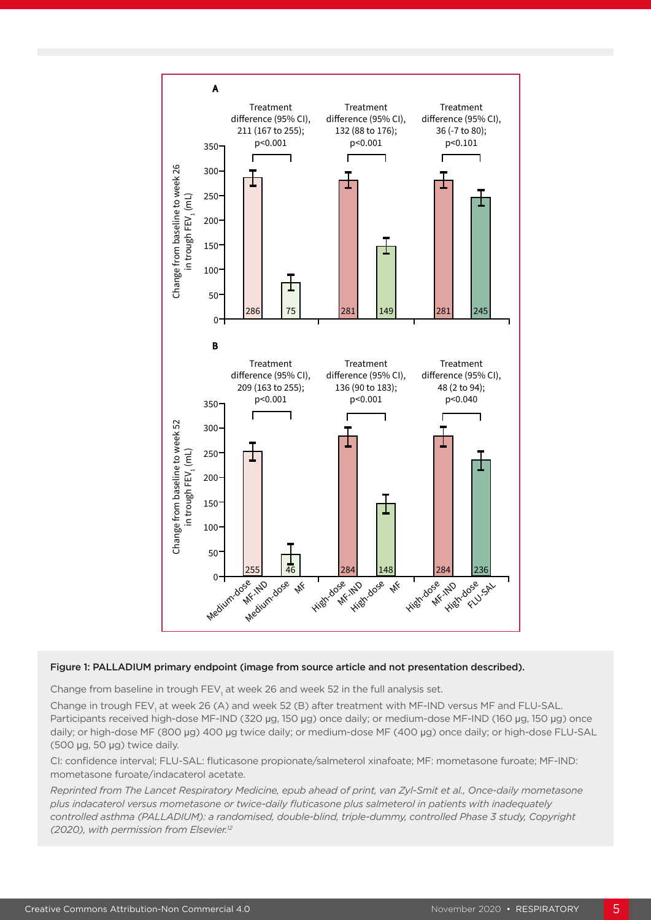

### Figure 1: PALLADIUM primary endpoint (image from source article and not presentation described).

Change from baseline in trough  $\mathsf{FEV}_{1}$  at week 26 and week 52 in the full analysis set.

Change in trough  $\mathsf{FEV}_1$  at week 26 (A) and week 52 (B) after treatment with MF-IND versus MF and FLU-SAL. Participants received high-dose MF-IND (320 μg, 150 μg) once daily; or medium-dose MF-IND (160 μg, 150 μg) once daily; or high-dose MF (800 µg) 400 µg twice daily; or medium-dose MF (400 µg) once daily; or high-dose FLU-SAL (500 µg, 50 µg) twice daily.

CI: confidence interval; FLU-SAL: fluticasone propionate/salmeterol xinafoate; MF: mometasone furoate; MF-IND: mometasone furoate/indacaterol acetate.

*Reprinted from The Lancet Respiratory Medicine, epub ahead of print, van Zyl-Smit et al., Once-daily mometasone plus indacaterol versus mometasone or twice-daily fluticasone plus salmeterol in patients with inadequately controlled asthma (PALLADIUM): a randomised, double-blind, triple-dummy, controlled Phase 3 study, Copyright (2020), with permission from Elsevier.12*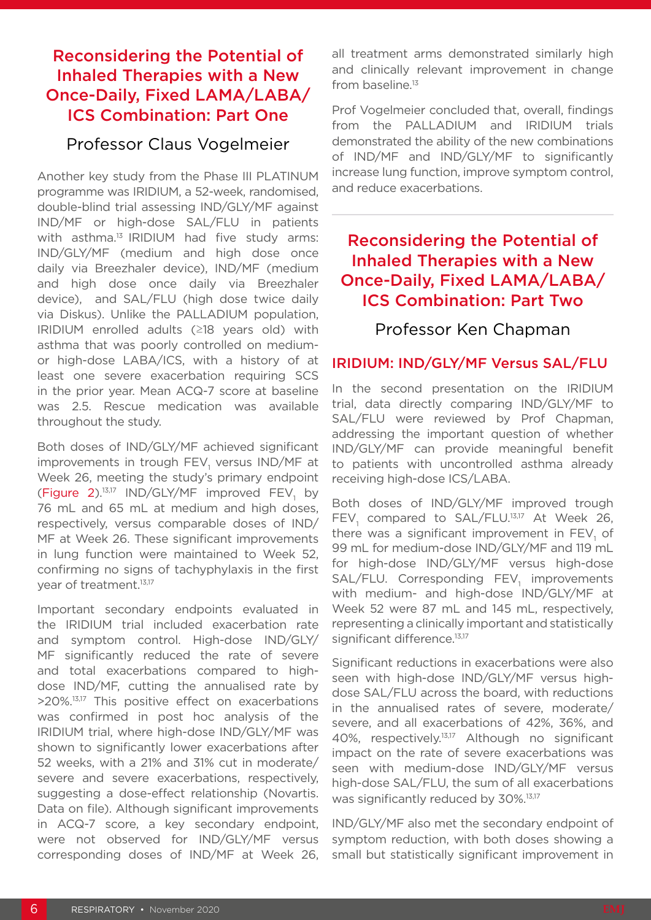## Reconsidering the Potential of Inhaled Therapies with a New Once-Daily, Fixed LAMA/LABA/ ICS Combination: Part One

### Professor Claus Vogelmeier

Another key study from the Phase III PLATINUM programme was IRIDIUM, a 52-week, randomised, double-blind trial assessing IND/GLY/MF against IND/MF or high-dose SAL/FLU in patients with asthma.<sup>13</sup> IRIDIUM had five study arms: IND/GLY/MF (medium and high dose once daily via Breezhaler device), IND/MF (medium and high dose once daily via Breezhaler device), and SAL/FLU (high dose twice daily via Diskus). Unlike the PALLADIUM population, IRIDIUM enrolled adults (≥18 years old) with asthma that was poorly controlled on mediumor high-dose LABA/ICS, with a history of at least one severe exacerbation requiring SCS in the prior year. Mean ACQ-7 score at baseline was 2.5. Rescue medication was available throughout the study.

Both doses of IND/GLY/MF achieved significant improvements in trough  $\mathsf{FEV}_1$  versus IND/MF at Week 26, meeting the study's primary endpoint (Figure 2).<sup>13,17</sup> IND/GLY/MF improved  $FEV<sub>1</sub>$  by 76 mL and 65 mL at medium and high doses, respectively, versus comparable doses of IND/ MF at Week 26. These significant improvements in lung function were maintained to Week 52, confirming no signs of tachyphylaxis in the first year of treatment.<sup>13,17</sup>

Important secondary endpoints evaluated in the IRIDIUM trial included exacerbation rate and symptom control. High-dose IND/GLY/ MF significantly reduced the rate of severe and total exacerbations compared to highdose IND/MF, cutting the annualised rate by >20%.13,17 This positive effect on exacerbations was confirmed in post hoc analysis of the IRIDIUM trial, where high-dose IND/GLY/MF was shown to significantly lower exacerbations after 52 weeks, with a 21% and 31% cut in moderate/ severe and severe exacerbations, respectively, suggesting a dose-effect relationship (Novartis. Data on file). Although significant improvements in ACQ-7 score, a key secondary endpoint, were not observed for IND/GLY/MF versus corresponding doses of IND/MF at Week 26, all treatment arms demonstrated similarly high and clinically relevant improvement in change from baseline.<sup>13</sup>

Prof Vogelmeier concluded that, overall, findings from the PALLADIUM and IRIDIUM trials demonstrated the ability of the new combinations of IND/MF and IND/GLY/MF to significantly increase lung function, improve symptom control, and reduce exacerbations.

## Reconsidering the Potential of Inhaled Therapies with a New Once-Daily, Fixed LAMA/LABA/ ICS Combination: Part Two

Professor Ken Chapman

### IRIDIUM: IND/GLY/MF Versus SAL/FLU

In the second presentation on the IRIDIUM trial, data directly comparing IND/GLY/MF to SAL/FLU were reviewed by Prof Chapman, addressing the important question of whether IND/GLY/MF can provide meaningful benefit to patients with uncontrolled asthma already receiving high-dose ICS/LABA.

Both doses of IND/GLY/MF improved trough  $FEV<sub>1</sub>$  compared to SAL/FLU.<sup>13,17</sup> At Week 26, there was a significant improvement in  $\mathsf{FEV}_1$  of 99 mL for medium-dose IND/GLY/MF and 119 mL for high-dose IND/GLY/MF versus high-dose SAL/FLU. Corresponding FEV<sub>1</sub> improvements with medium- and high-dose IND/GLY/MF at Week 52 were 87 mL and 145 mL, respectively, representing a clinically important and statistically significant difference.<sup>13,17</sup>

Significant reductions in exacerbations were also seen with high-dose IND/GLY/MF versus highdose SAL/FLU across the board, with reductions in the annualised rates of severe, moderate/ severe, and all exacerbations of 42%, 36%, and 40%, respectively.13,17 Although no significant impact on the rate of severe exacerbations was seen with medium-dose IND/GLY/MF versus high-dose SAL/FLU, the sum of all exacerbations was significantly reduced by 30%.<sup>13,17</sup>

IND/GLY/MF also met the secondary endpoint of symptom reduction, with both doses showing a small but statistically significant improvement in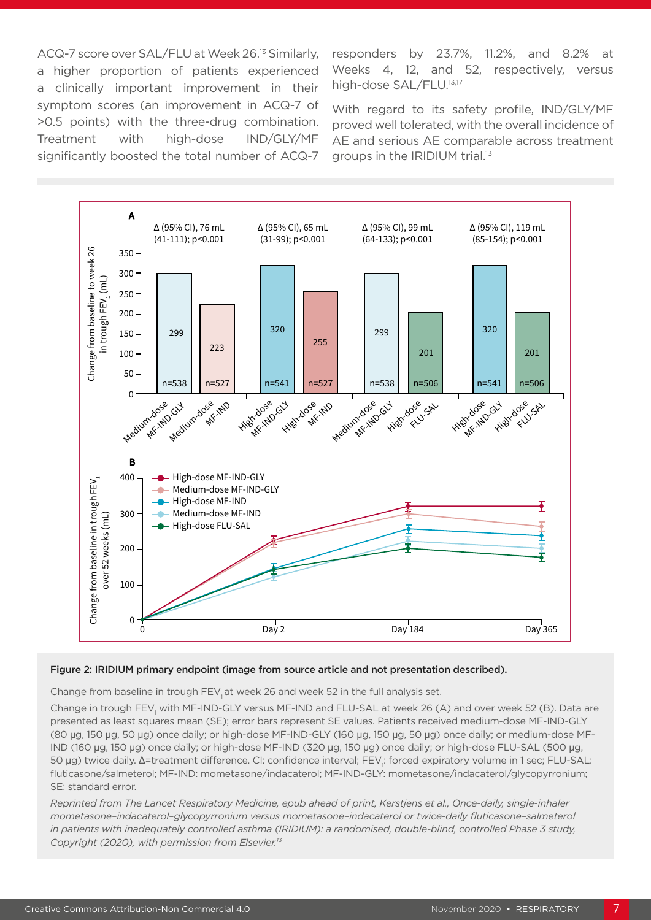ACQ-7 score over SAL/FLU at Week 26.13 Similarly, a higher proportion of patients experienced a clinically important improvement in their symptom scores (an improvement in ACQ-7 of >0.5 points) with the three-drug combination. Treatment with high-dose IND/GLY/MF significantly boosted the total number of ACQ-7 responders by 23.7%, 11.2%, and 8.2% at Weeks 4, 12, and 52, respectively, versus high-dose SAL/FLU.<sup>13,17</sup>

With regard to its safety profile, IND/GLY/MF proved well tolerated, with the overall incidence of AE and serious AE comparable across treatment groups in the IRIDIUM trial.13



### Figure 2: IRIDIUM primary endpoint (image from source article and not presentation described).

Change from baseline in trough FEV, at week 26 and week 52 in the full analysis set.

Change in trough FEV<sub>1</sub> with MF-IND-GLY versus MF-IND and FLU-SAL at week 26 (A) and over week 52 (B). Data are presented as least squares mean (SE); error bars represent SE values. Patients received medium-dose MF-IND-GLY (80 µg, 150 µg, 50 µg) once daily; or high-dose MF-IND-GLY (160 µg, 150 µg, 50 µg) once daily; or medium-dose MF-IND (160 µg, 150 µg) once daily; or high-dose MF-IND (320 µg, 150 µg) once daily; or high-dose FLU-SAL (500 µg, 50 μg) twice daily. Δ=treatment difference. CI: confidence interval; FEV<sub>1</sub>: forced expiratory volume in 1 sec; FLU-SAL: fluticasone/salmeterol; MF-IND: mometasone/indacaterol; MF-IND-GLY: mometasone/indacaterol/glycopyrronium; SE: standard error.

*Reprinted from The Lancet Respiratory Medicine, epub ahead of print, Kerstjens et al., Once-daily, single-inhaler mometasone–indacaterol–glycopyrronium versus mometasone–indacaterol or twice-daily fluticasone–salmeterol*  in patients with inadequately controlled asthma (IRIDIUM): a randomised, double-blind, controlled Phase 3 study, *Copyright (2020), with permission from Elsevier.13*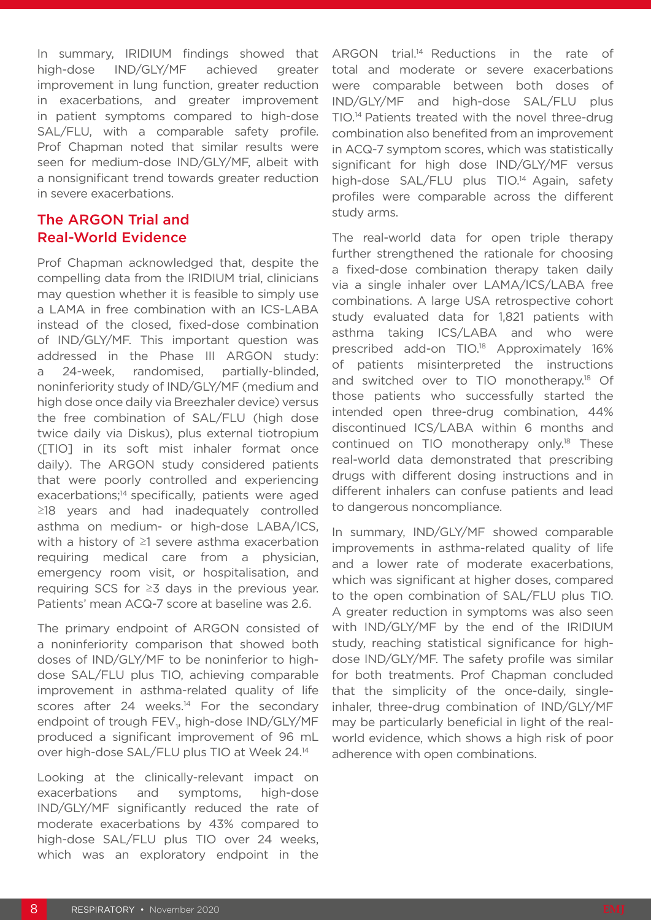In summary, IRIDIUM findings showed that high-dose IND/GLY/MF achieved greater improvement in lung function, greater reduction in exacerbations, and greater improvement in patient symptoms compared to high-dose SAL/FLU, with a comparable safety profile. Prof Chapman noted that similar results were seen for medium-dose IND/GLY/MF, albeit with a nonsignificant trend towards greater reduction in severe exacerbations.

### The ARGON Trial and Real-World Evidence

Prof Chapman acknowledged that, despite the compelling data from the IRIDIUM trial, clinicians may question whether it is feasible to simply use a LAMA in free combination with an ICS-LABA instead of the closed, fixed-dose combination of IND/GLY/MF. This important question was addressed in the Phase III ARGON study: a 24-week, randomised, partially-blinded, noninferiority study of IND/GLY/MF (medium and high dose once daily via Breezhaler device) versus the free combination of SAL/FLU (high dose twice daily via Diskus), plus external tiotropium ([TIO] in its soft mist inhaler format once daily). The ARGON study considered patients that were poorly controlled and experiencing exacerbations;<sup>14</sup> specifically, patients were aged ≥18 years and had inadequately controlled asthma on medium- or high-dose LABA/ICS, with a history of ≥1 severe asthma exacerbation requiring medical care from a physician, emergency room visit, or hospitalisation, and requiring SCS for ≥3 days in the previous year. Patients' mean ACQ-7 score at baseline was 2.6.

The primary endpoint of ARGON consisted of a noninferiority comparison that showed both doses of IND/GLY/MF to be noninferior to highdose SAL/FLU plus TIO, achieving comparable improvement in asthma-related quality of life scores after 24 weeks.<sup>14</sup> For the secondary endpoint of trough FEV<sub>1</sub>, high-dose IND/GLY/MF produced a significant improvement of 96 mL over high-dose SAL/FLU plus TIO at Week 24.14

Looking at the clinically-relevant impact on exacerbations and symptoms, high-dose IND/GLY/MF significantly reduced the rate of moderate exacerbations by 43% compared to high-dose SAL/FLU plus TIO over 24 weeks, which was an exploratory endpoint in the

ARGON trial.<sup>14</sup> Reductions in the rate of total and moderate or severe exacerbations were comparable between both doses of IND/GLY/MF and high-dose SAL/FLU plus TIO.14 Patients treated with the novel three-drug combination also benefited from an improvement in ACQ-7 symptom scores, which was statistically significant for high dose IND/GLY/MF versus high-dose SAL/FLU plus TIO.<sup>14</sup> Again, safety profiles were comparable across the different study arms.

The real-world data for open triple therapy further strengthened the rationale for choosing a fixed-dose combination therapy taken daily via a single inhaler over LAMA/ICS/LABA free combinations. A large USA retrospective cohort study evaluated data for 1,821 patients with asthma taking ICS/LABA and who were prescribed add-on TIO.18 Approximately 16% of patients misinterpreted the instructions and switched over to TIO monotherapy.<sup>18</sup> Of those patients who successfully started the intended open three-drug combination, 44% discontinued ICS/LABA within 6 months and continued on TIO monotherapy only.<sup>18</sup> These real-world data demonstrated that prescribing drugs with different dosing instructions and in different inhalers can confuse patients and lead to dangerous noncompliance.

In summary, IND/GLY/MF showed comparable improvements in asthma-related quality of life and a lower rate of moderate exacerbations, which was significant at higher doses, compared to the open combination of SAL/FLU plus TIO. A greater reduction in symptoms was also seen with IND/GLY/MF by the end of the IRIDIUM study, reaching statistical significance for highdose IND/GLY/MF. The safety profile was similar for both treatments. Prof Chapman concluded that the simplicity of the once-daily, singleinhaler, three-drug combination of IND/GLY/MF may be particularly beneficial in light of the realworld evidence, which shows a high risk of poor adherence with open combinations.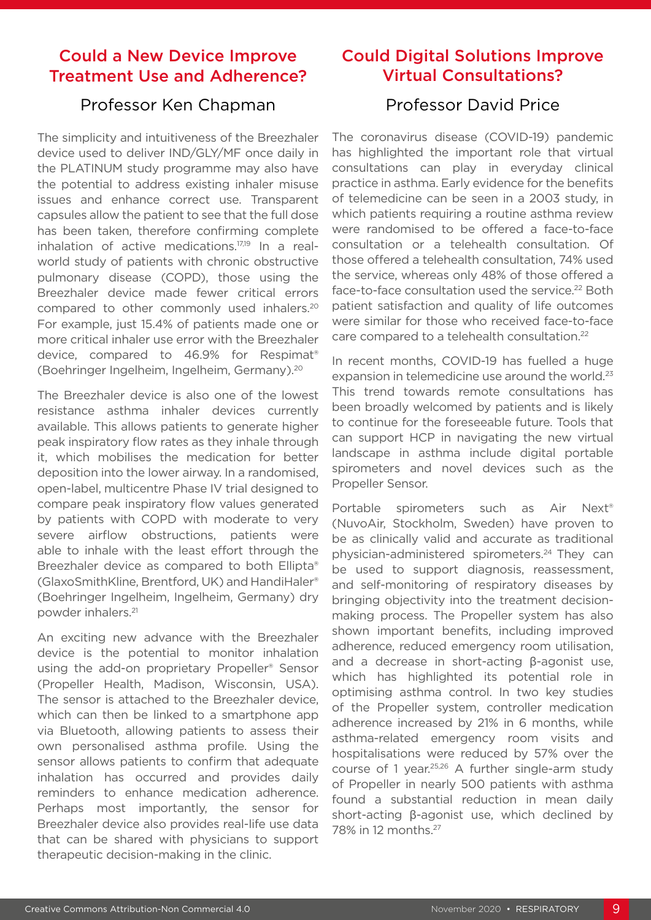### Could a New Device Improve Treatment Use and Adherence?

### Professor Ken Chapman

The simplicity and intuitiveness of the Breezhaler device used to deliver IND/GLY/MF once daily in the PLATINUM study programme may also have the potential to address existing inhaler misuse issues and enhance correct use. Transparent capsules allow the patient to see that the full dose has been taken, therefore confirming complete inhalation of active medications.17,19 In a realworld study of patients with chronic obstructive pulmonary disease (COPD), those using the Breezhaler device made fewer critical errors compared to other commonly used inhalers.20 For example, just 15.4% of patients made one or more critical inhaler use error with the Breezhaler device, compared to 46.9% for Respimat® (Boehringer Ingelheim, Ingelheim, Germany).20

The Breezhaler device is also one of the lowest resistance asthma inhaler devices currently available. This allows patients to generate higher peak inspiratory flow rates as they inhale through it, which mobilises the medication for better deposition into the lower airway. In a randomised, open-label, multicentre Phase IV trial designed to compare peak inspiratory flow values generated by patients with COPD with moderate to very severe airflow obstructions, patients were able to inhale with the least effort through the Breezhaler device as compared to both Ellipta® (GlaxoSmithKline, Brentford, UK) and HandiHaler® (Boehringer Ingelheim, Ingelheim, Germany) dry powder inhalers.21

An exciting new advance with the Breezhaler device is the potential to monitor inhalation using the add-on proprietary Propeller® Sensor (Propeller Health, Madison, Wisconsin, USA). The sensor is attached to the Breezhaler device, which can then be linked to a smartphone app via Bluetooth, allowing patients to assess their own personalised asthma profile. Using the sensor allows patients to confirm that adequate inhalation has occurred and provides daily reminders to enhance medication adherence. Perhaps most importantly, the sensor for Breezhaler device also provides real-life use data that can be shared with physicians to support therapeutic decision-making in the clinic.

## Could Digital Solutions Improve Virtual Consultations?

### Professor David Price

The coronavirus disease (COVID-19) pandemic has highlighted the important role that virtual consultations can play in everyday clinical practice in asthma. Early evidence for the benefits of telemedicine can be seen in a 2003 study, in which patients requiring a routine asthma review were randomised to be offered a face-to-face consultation or a telehealth consultation. Of those offered a telehealth consultation, 74% used the service, whereas only 48% of those offered a face-to-face consultation used the service.<sup>22</sup> Both patient satisfaction and quality of life outcomes were similar for those who received face-to-face care compared to a telehealth consultation.<sup>22</sup>

In recent months, COVID-19 has fuelled a huge expansion in telemedicine use around the world.<sup>23</sup> This trend towards remote consultations has been broadly welcomed by patients and is likely to continue for the foreseeable future. Tools that can support HCP in navigating the new virtual landscape in asthma include digital portable spirometers and novel devices such as the Propeller Sensor.

Portable spirometers such as Air Next<sup>®</sup> (NuvoAir, Stockholm, Sweden) have proven to be as clinically valid and accurate as traditional physician-administered spirometers.24 They can be used to support diagnosis, reassessment, and self-monitoring of respiratory diseases by bringing objectivity into the treatment decisionmaking process. The Propeller system has also shown important benefits, including improved adherence, reduced emergency room utilisation, and a decrease in short-acting β-agonist use, which has highlighted its potential role in optimising asthma control. In two key studies of the Propeller system, controller medication adherence increased by 21% in 6 months, while asthma-related emergency room visits and hospitalisations were reduced by 57% over the course of 1 year.25,26 A further single-arm study of Propeller in nearly 500 patients with asthma found a substantial reduction in mean daily short-acting β-agonist use, which declined by 78% in 12 months.27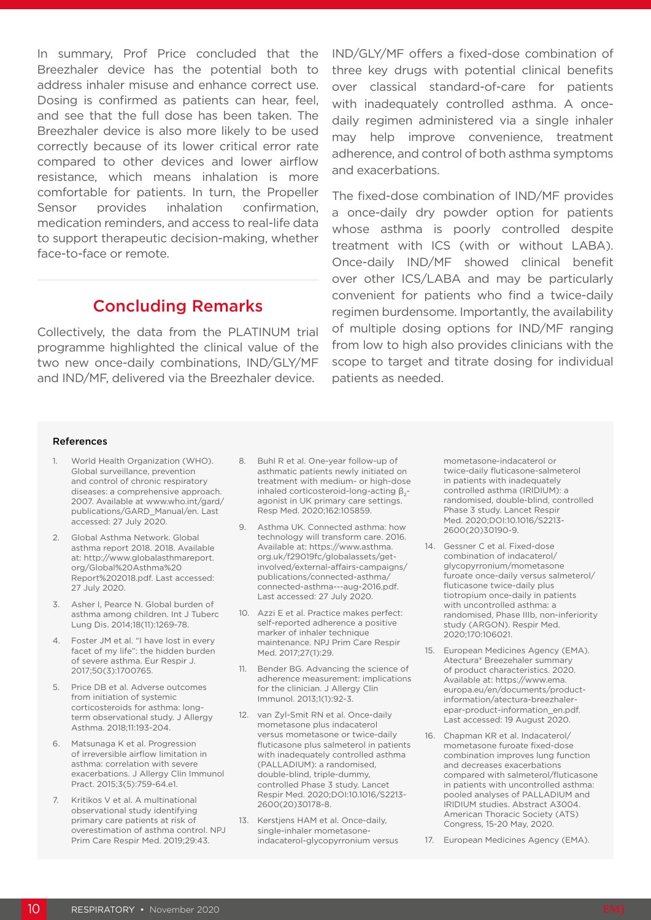In summary, Prof Price concluded that the Breezhaler device has the potential both to address inhaler misuse and enhance correct use. Dosing is confirmed as patients can hear, feel, and see that the full dose has been taken. The Breezhaler device is also more likely to be used correctly because of its lower critical error rate compared to other devices and lower airflow resistance, which means inhalation is more comfortable for patients. In turn, the Propeller Sensor provides inhalation confirmation, medication reminders, and access to real-life data to support therapeutic decision-making, whether face-to-face or remote.

### Concluding Remarks

Collectively, the data from the PLATINUM trial programme highlighted the clinical value of the two new once-daily combinations, IND/GLY/MF and IND/MF, delivered via the Breezhaler device.

IND/GLY/MF offers a fixed-dose combination of three key drugs with potential clinical benefits over classical standard-of-care for patients with inadequately controlled asthma. A oncedaily regimen administered via a single inhaler may help improve convenience, treatment adherence, and control of both asthma symptoms and exacerbations.

The fixed-dose combination of IND/MF provides a once-daily dry powder option for patients whose asthma is poorly controlled despite treatment with ICS (with or without LABA). Once-daily IND/MF showed clinical benefit over other ICS/LABA and may be particularly convenient for patients who find a twice-daily regimen burdensome. Importantly, the availability of multiple dosing options for IND/MF ranging from low to high also provides clinicians with the scope to target and titrate dosing for individual patients as needed.

#### References

- 1. World Health Organization (WHO). Global surveillance, prevention and control of chronic respiratory diseases: a comprehensive approach. 2007. Available at www.who.int/gard/ publications/GARD\_Manual/en. Last accessed: 27 July 2020.
- 2. Global Asthma Network. Global asthma report 2018. 2018. Available at: http://www.globalasthmareport. org/Global%20Asthma%20 Report%202018.pdf. Last accessed: 27 July 2020.
- 3. Asher I, Pearce N. Global burden of asthma among children. Int J Tuberc Lung Dis. 2014;18(11):1269-78.
- 4. Foster JM et al. "I have lost in every facet of my life": the hidden burden of severe asthma. Eur Respir J. 2017;50(3):1700765.
- 5. Price DB et al. Adverse outcomes from initiation of systemic corticosteroids for asthma: longterm observational study. J Allergy Asthma. 2018;11:193-204.
- 6. Matsunaga K et al. Progression of irreversible airflow limitation in asthma: correlation with severe exacerbations. J Allergy Clin Immunol Pract. 2015;3(5):759-64.e1.
- 7. Kritikos V et al. A multinational observational study identifying primary care patients at risk of overestimation of asthma control. NPJ Prim Care Respir Med. 2019;29:43.
- 8. Buhl R et al. One-year follow-up of asthmatic patients newly initiated on treatment with medium- or high-dose inhaled corticosteroid-long-acting β<sub>2</sub>agonist in UK primary care settings. Resp Med. 2020;162:105859.
- 9. Asthma UK. Connected asthma: how technology will transform care. 2016. Available at: https://www.asthma. org.uk/f29019fc/globalassets/getinvolved/external-affairs-campaigns/ publications/connected-asthma/ connected-asthma---aug-2016.pdf. Last accessed: 27 July 2020.
- 10. Azzi E et al. Practice makes perfect: self-reported adherence a positive marker of inhaler technique maintenance. NPJ Prim Care Respir Med. 2017;27(1):29.
- 11. Bender BG. Advancing the science of adherence measurement: implications for the clinician. J Allergy Clin Immunol. 2013;1(1):92-3.
- 12. van Zyl-Smit RN et al. Once-daily mometasone plus indacaterol versus mometasone or twice-daily fluticasone plus salmeterol in patients with inadequately controlled asthma (PALLADIUM): a randomised, double-blind, triple-dummy, controlled Phase 3 study. Lancet Respir Med. 2020;DOI:10.1016/S2213- 2600(20)30178-8.
- 13. Kerstjens HAM et al. Once-daily, single-inhaler mometasoneindacaterol-glycopyrronium versus

mometasone-indacaterol or twice-daily fluticasone-salmeterol in patients with inadequately controlled asthma (IRIDIUM): a randomised, double-blind, controlled Phase 3 study. Lancet Respir Med. 2020;DOI:10.1016/S2213- 2600(20)30190-9.

- 14. Gessner C et al. Fixed-dose combination of indacaterol/ glycopyrronium/mometasone furoate once-daily versus salmeterol/ fluticasone twice-daily plus tiotropium once-daily in patients with uncontrolled asthma: a randomised, Phase IIIb, non-inferiority study (ARGON). Respir Med. 2020;170:106021.
- 15. European Medicines Agency (EMA). Atectura® Breezehaler summary of product characteristics. 2020. Available at: https://www.ema. europa.eu/en/documents/productinformation/atectura-breezhalerepar-product-information\_en.pdf. Last accessed: 19 August 2020.
- 16. Chapman KR et al. Indacaterol/ mometasone furoate fixed-dose combination improves lung function and decreases exacerbations compared with salmeterol/fluticasone in patients with uncontrolled asthma: pooled analyses of PALLADIUM and IRIDIUM studies. Abstract A3004. American Thoracic Society (ATS) Congress, 15-20 May, 2020.
- 17. European Medicines Agency (EMA).